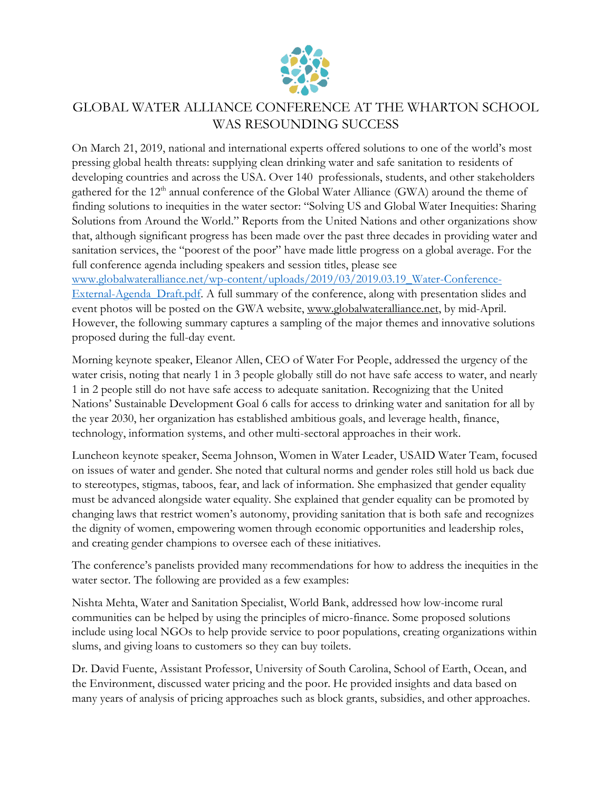

## GLOBAL WATER ALLIANCE CONFERENCE AT THE WHARTON SCHOOL WAS RESOUNDING SUCCESS

On March 21, 2019, national and international experts offered solutions to one of the world's most pressing global health threats: supplying clean drinking water and safe sanitation to residents of developing countries and across the USA. Over 140 professionals, students, and other stakeholders gathered for the 12<sup>th</sup> annual conference of the Global Water Alliance (GWA) around the theme of finding solutions to inequities in the water sector: "Solving US and Global Water Inequities: Sharing Solutions from Around the World." Reports from the United Nations and other organizations show that, although significant progress has been made over the past three decades in providing water and sanitation services, the "poorest of the poor" have made little progress on a global average. For the full conference agenda including speakers and session titles, please see

[www.globalwateralliance.net/wp-content/uploads/2019/03/2019.03.19\\_Water-Conference-](http://www.globalwateralliance.net/wp-content/uploads/2019/03/2019.03.19_Water-Conference-External-Agenda_Draft.pdf)[External-Agenda\\_Draft.pdf.](http://www.globalwateralliance.net/wp-content/uploads/2019/03/2019.03.19_Water-Conference-External-Agenda_Draft.pdf) A full summary of the conference, along with presentation slides and event photos will be posted on the GWA website, [www.globalwateralliance.net,](http://www.globalwateralliance.net/) by mid-April. However, the following summary captures a sampling of the major themes and innovative solutions proposed during the full-day event.

Morning keynote speaker, Eleanor Allen, CEO of Water For People, addressed the urgency of the water crisis, noting that nearly 1 in 3 people globally still do not have safe access to water, and nearly 1 in 2 people still do not have safe access to adequate sanitation. Recognizing that the United Nations' Sustainable Development Goal 6 calls for access to drinking water and sanitation for all by the year 2030, her organization has established ambitious goals, and leverage health, finance, technology, information systems, and other multi-sectoral approaches in their work.

Luncheon keynote speaker, Seema Johnson, Women in Water Leader, USAID Water Team, focused on issues of water and gender. She noted that cultural norms and gender roles still hold us back due to stereotypes, stigmas, taboos, fear, and lack of information. She emphasized that gender equality must be advanced alongside water equality. She explained that gender equality can be promoted by changing laws that restrict women's autonomy, providing sanitation that is both safe and recognizes the dignity of women, empowering women through economic opportunities and leadership roles, and creating gender champions to oversee each of these initiatives.

The conference's panelists provided many recommendations for how to address the inequities in the water sector. The following are provided as a few examples:

Nishta Mehta, Water and Sanitation Specialist, World Bank, addressed how low-income rural communities can be helped by using the principles of micro-finance. Some proposed solutions include using local NGOs to help provide service to poor populations, creating organizations within slums, and giving loans to customers so they can buy toilets.

Dr. David Fuente, Assistant Professor, University of South Carolina, School of Earth, Ocean, and the Environment, discussed water pricing and the poor. He provided insights and data based on many years of analysis of pricing approaches such as block grants, subsidies, and other approaches.